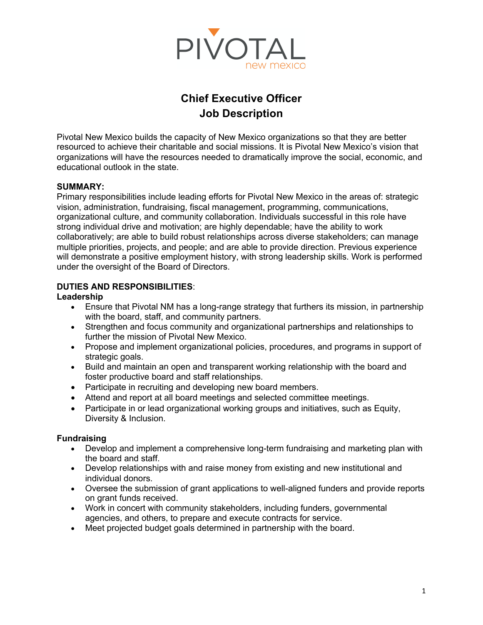

# **Chief Executive Officer Job Description**

Pivotal New Mexico builds the capacity of New Mexico organizations so that they are better resourced to achieve their charitable and social missions. It is Pivotal New Mexico's vision that organizations will have the resources needed to dramatically improve the social, economic, and educational outlook in the state.

#### **SUMMARY:**

Primary responsibilities include leading efforts for Pivotal New Mexico in the areas of: strategic vision, administration, fundraising, fiscal management, programming, communications, organizational culture, and community collaboration. Individuals successful in this role have strong individual drive and motivation; are highly dependable; have the ability to work collaboratively; are able to build robust relationships across diverse stakeholders; can manage multiple priorities, projects, and people; and are able to provide direction. Previous experience will demonstrate a positive employment history, with strong leadership skills. Work is performed under the oversight of the Board of Directors.

## **DUTIES AND RESPONSIBILITIES**:

#### **Leadership**

- Ensure that Pivotal NM has a long-range strategy that furthers its mission, in partnership with the board, staff, and community partners.
- Strengthen and focus community and organizational partnerships and relationships to further the mission of Pivotal New Mexico.
- Propose and implement organizational policies, procedures, and programs in support of strategic goals.
- Build and maintain an open and transparent working relationship with the board and foster productive board and staff relationships.
- Participate in recruiting and developing new board members.
- Attend and report at all board meetings and selected committee meetings.
- Participate in or lead organizational working groups and initiatives, such as Equity, Diversity & Inclusion.

#### **Fundraising**

- Develop and implement a comprehensive long-term fundraising and marketing plan with the board and staff.
- Develop relationships with and raise money from existing and new institutional and individual donors.
- Oversee the submission of grant applications to well-aligned funders and provide reports on grant funds received.
- Work in concert with community stakeholders, including funders, governmental agencies, and others, to prepare and execute contracts for service.
- Meet projected budget goals determined in partnership with the board.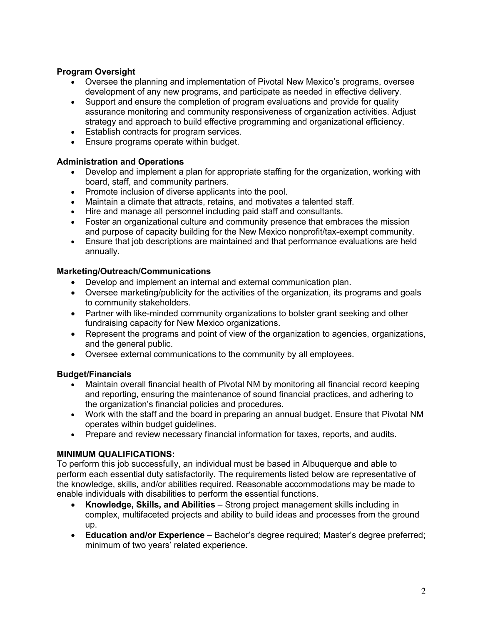## **Program Oversight**

- Oversee the planning and implementation of Pivotal New Mexico's programs, oversee development of any new programs, and participate as needed in effective delivery.
- Support and ensure the completion of program evaluations and provide for quality assurance monitoring and community responsiveness of organization activities. Adjust strategy and approach to build effective programming and organizational efficiency.
- Establish contracts for program services.
- Ensure programs operate within budget.

## **Administration and Operations**

- Develop and implement a plan for appropriate staffing for the organization, working with board, staff, and community partners.
- Promote inclusion of diverse applicants into the pool.
- Maintain a climate that attracts, retains, and motivates a talented staff.
- Hire and manage all personnel including paid staff and consultants.
- Foster an organizational culture and community presence that embraces the mission and purpose of capacity building for the New Mexico nonprofit/tax-exempt community.
- Ensure that job descriptions are maintained and that performance evaluations are held annually.

## **Marketing/Outreach/Communications**

- Develop and implement an internal and external communication plan.
- Oversee marketing/publicity for the activities of the organization, its programs and goals to community stakeholders.
- Partner with like-minded community organizations to bolster grant seeking and other fundraising capacity for New Mexico organizations.
- Represent the programs and point of view of the organization to agencies, organizations, and the general public.
- Oversee external communications to the community by all employees.

# **Budget/Financials**

- Maintain overall financial health of Pivotal NM by monitoring all financial record keeping and reporting, ensuring the maintenance of sound financial practices, and adhering to the organization's financial policies and procedures.
- Work with the staff and the board in preparing an annual budget. Ensure that Pivotal NM operates within budget guidelines.
- Prepare and review necessary financial information for taxes, reports, and audits.

# **MINIMUM QUALIFICATIONS:**

To perform this job successfully, an individual must be based in Albuquerque and able to perform each essential duty satisfactorily. The requirements listed below are representative of the knowledge, skills, and/or abilities required. Reasonable accommodations may be made to enable individuals with disabilities to perform the essential functions.

- **Knowledge, Skills, and Abilities**  Strong project management skills including in complex, multifaceted projects and ability to build ideas and processes from the ground up.
- **Education and/or Experience**  Bachelor's degree required; Master's degree preferred; minimum of two years' related experience.